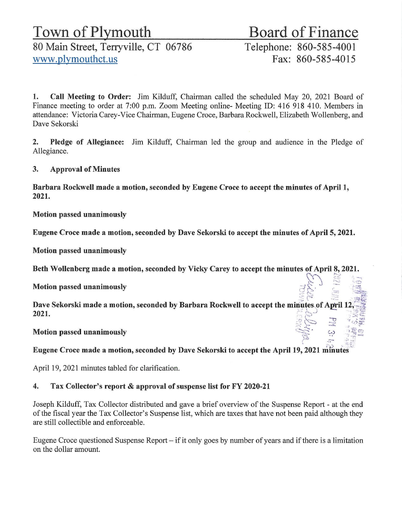# Town of Plymouth<br>80 Main Street, Terryville, CT 06786 Telephone: 860-585-4001 80 Main Street, Terryville, CT 06786 www.plymouthct.us Fax: 860-585-4015

1. Call Meeting to Order: Jim Kilduff, Chairman called the scheduled May 20, 2021 Board of Finance meeting to order at 7:00 p.m. Zoom Meeting online- Meeting ID: 416 918 410. Members in attendance: Victoria Carey-Vice Chairman, Eugene Croce, Barbara Rockwell, Elizabeth Wollenberg, and Dave Sekorski

2. Pledge of Allegiance: Jim Kilduff, Chairman led the group and audience in the Pledge of Allegiance.

3. Approval of Minutes

Barbara Rockwell made a motion, seconded by Eugene Croce to accept the minutes of April 1, 2021.

Motion passed unanimously

Eugene Croce made a motion, seconded by Dave Sekorski to accept the minutes of April 5, 2021.

Motion passed unanimously

Beth Wollenberg made a motion, seconded by Vicky Carey to accept the minutes ofApril 8, 2021. *}.:* ' .:~:::, :(; Motion passed unanimously .~:t ii:;,. , .~-- :' , ~;:- *t ..\_* c-~ .:::ri~.  $\infty$  :  $\infty$  :

 $\widetilde{\epsilon}$  ,  $\widetilde{\epsilon}$  .  $\widetilde{\epsilon}$  .  $\widetilde{\epsilon}$ Dave Sekorski made a motion, seconded by Barbara Rockwell to accept the minutes of April 12,  $\sim$  ...  $2021.$  $\mathbb{E} \sim \mathbb{E}$  . The  $\mathbb{E} \neq \mathbb{E}$ 

Motion passed unanimously

Eugene Croce made a motion, seconded by Dave Sekorski to accept the April 19, 2021 minutes

April 19, 2021 minutes tabled for clarification.

# 4. Tax Collector's report & approval of suspense list for FY 2020-21

Joseph Kilduff, Tax Collector distributed and gave a brief overview ofthe Suspense Report - at the end of the fiscal year the Tax Collector's Suspense list, which are taxes that have not been paid although they are still collectible and enforceable.

Eugene Croce questioned Suspense Report  $-$  if it only goes by number of years and if there is a limitation on the dollar amount.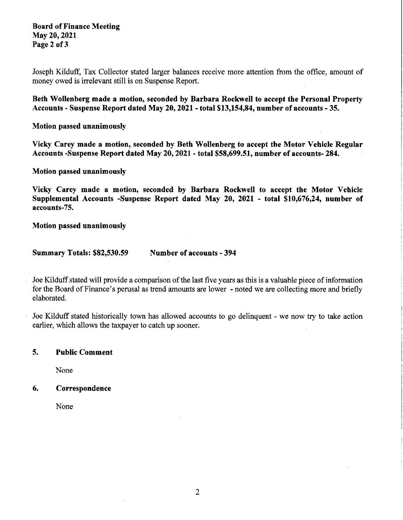#### Board of Finance Meeting May20,2021 Page 2 of 3

Joseph Kilduff, Tax Collector stated larger balances receive more attention from the office, amount of money owed is irrelevant still is on Suspense Report.

Beth Wollenberg made a motion, seconded by Barbara Rockwell to accept the Personal Property Accounts - Suspense Report dated May 20, 2021 - total \$13,154,84, number of accounts - 35.

Motion passed unanimously

Vicky Carey made a motion, seconded by Beth Wollenberg to accept the Motor Vehicle Regular Accounts -Suspense Report dated May 20, 2021 • total \$58,699.51, number of accounts· 284.

Motion passed unanimously

Vicky Carey made a motion, seconded by Barbara Rockwell to accept the Motor Vehicle Supplemental Accounts -Suspense Report dated May 20, 2021 • total \$10,676,24, number of accounts-75.

Motion passed unanimously

Summary Totals: \$82,530.59 Number of accounts • 394

Joe Kilduff stated will provide a comparison of the last five years as this is a valuable piece of information for the Board of Finance's perusal as trend amounts are lower - noted we are collecting more and briefly elaborated.

Joe Kilduff stated historically town has allowed accounts to go delinquent - we now try to take action earlier, which allows the taxpayer to catch up sooner.

#### 5. Public Comment

None

 $\ddot{\phantom{1}}$ 

## 6. Correspondence

None